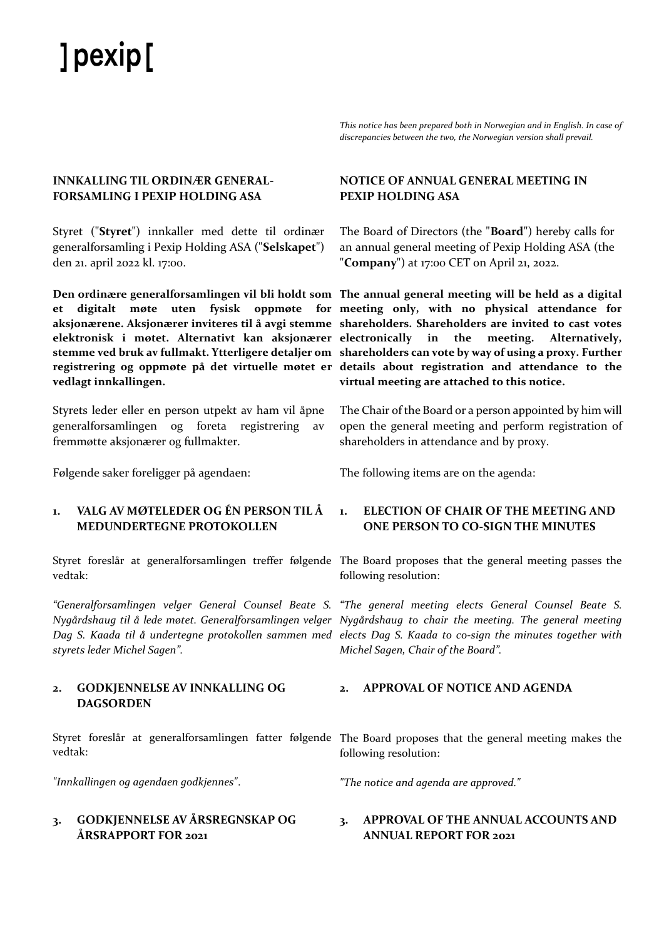# ] pexip [

*This notice has been prepared both in Norwegian and in English. In case of discrepancies between the two, the Norwegian version shall prevail.*

# **INNKALLING TIL ORDINÆR GENERAL-FORSAMLING I PEXIP HOLDING ASA**

Styret ("**Styret**") innkaller med dette til ordinær generalforsamling i Pexip Holding ASA ("**Selskapet**") den 21. april 2022 kl. 17:00.

**vedlagt innkallingen.**

Styrets leder eller en person utpekt av ham vil åpne generalforsamlingen og foreta registrering av fremmøtte aksjonærer og fullmakter.

Følgende saker foreligger på agendaen: The following items are on the agenda:

# **1. VALG AV MØTELEDER OG ÉN PERSON TIL Å MEDUNDERTEGNE PROTOKOLLEN**

vedtak:

*styrets leder Michel Sagen".*

# **2. GODKJENNELSE AV INNKALLING OG DAGSORDEN**

vedtak:

*"Innkallingen og agendaen godkjennes"*.

# **3. GODKJENNELSE AV ÅRSREGNSKAP OG ÅRSRAPPORT FOR 2021**

# **NOTICE OF ANNUAL GENERAL MEETING IN PEXIP HOLDING ASA**

The Board of Directors (the "**Board**") hereby calls for an annual general meeting of Pexip Holding ASA (the "**Company**") at 17:00 CET on April 21, 2022.

**Den ordinære generalforsamlingen vil bli holdt som The annual general meeting will be held as a digital et digitalt møte uten fysisk oppmøte for meeting only, with no physical attendance for aksjonærene. Aksjonærer inviteres til å avgi stemme shareholders. Shareholders are invited to cast votes elektronisk i møtet. Alternativt kan aksjonærer electronically in the meeting. Alternatively, stemme ved bruk av fullmakt. Ytterligere detaljer om shareholders can vote by way of using a proxy. Further registrering og oppmøte på det virtuelle møtet er details about registration and attendance to the virtual meeting are attached to this notice.** 

> The Chair of the Board or a person appointed by him will open the general meeting and perform registration of shareholders in attendance and by proxy.

# **1. ELECTION OF CHAIR OF THE MEETING AND ONE PERSON TO CO-SIGN THE MINUTES**

Styret foreslår at generalforsamlingen treffer følgende The Board proposes that the general meeting passes the following resolution:

*"Generalforsamlingen velger General Counsel Beate S. "The general meeting elects General Counsel Beate S.*  Nygårdshaug til å lede møtet. Generalforsamlingen velger Nygårdshaug to chair the meeting. The general meeting *Dag S. Kaada til å undertegne protokollen sammen med elects Dag S. Kaada to co-sign the minutes together with Michel Sagen, Chair of the Board".*

# **2. APPROVAL OF NOTICE AND AGENDA**

Styret foreslår at generalforsamlingen fatter følgende The Board proposes that the general meeting makes the following resolution:

*"The notice and agenda are approved."*

# **3. APPROVAL OF THE ANNUAL ACCOUNTS AND ANNUAL REPORT FOR 2021**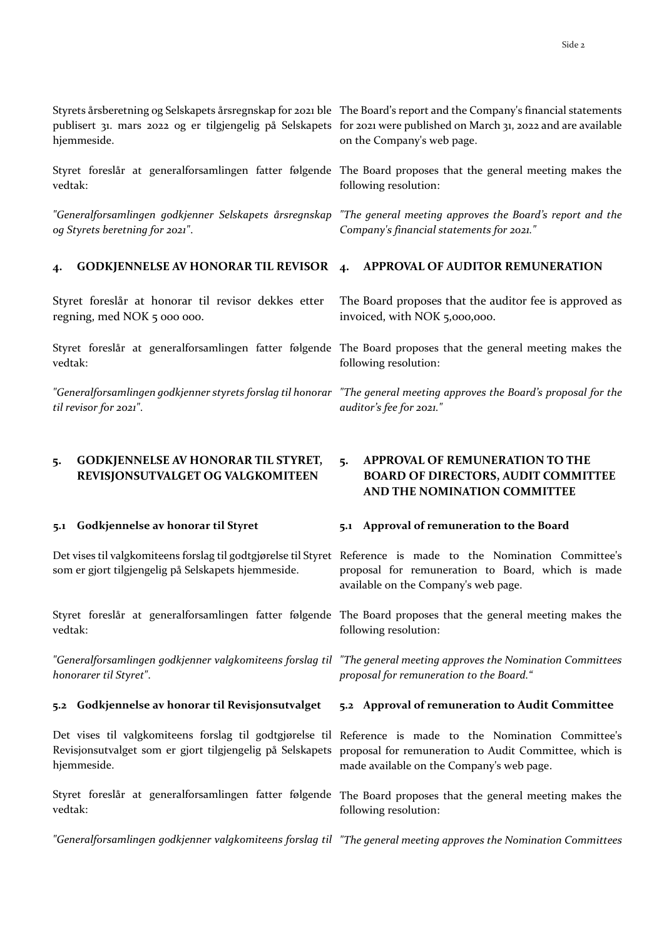hjemmeside.

vedtak:

*"Generalforsamlingen godkjenner Selskapets årsregnskap og Styrets beretning for 2021"*.

# **4. GODKJENNELSE AV HONORAR TIL REVISOR 4. APPROVAL OF AUDITOR REMUNERATION**

Styret foreslår at honorar til revisor dekkes etter regning, med NOK 5 000 000.

vedtak:

*til revisor for 2021"*.

# **5. GODKJENNELSE AV HONORAR TIL STYRET, REVISJONSUTVALGET OG VALGKOMITEEN**

#### **5.1 Godkjennelse av honorar til Styret**

som er gjort tilgjengelig på Selskapets hjemmeside.

vedtak:

*honorarer til Styret"*.

#### **5.2 Godkjennelse av honorar til Revisjonsutvalget**

Revisjonsutvalget som er gjort tilgjengelig på Selskapets hjemmeside.

vedtak:

Styrets årsberetning og Selskapets årsregnskap for 2021 ble The Board's report and the Company's financial statements publisert 31. mars 2022 og er tilgjengelig på Selskapets for 2021 were published on March 31, 2022 and are available on the Company's web page.

Styret foreslår at generalforsamlingen fatter følgende The Board proposes that the general meeting makes the following resolution:

> *"The general meeting approves the Board's report and the Company's financial statements for 2021."*

The Board proposes that the auditor fee is approved as invoiced, with NOK 5,000,000.

Styret foreslår at generalforsamlingen fatter følgende The Board proposes that the general meeting makes the following resolution:

"Generalforsamlingen godkjenner styrets forslag til honorar "The general meeting approves the Board's proposal for the *auditor's fee for 2021."*

# **5. APPROVAL OF REMUNERATION TO THE BOARD OF DIRECTORS, AUDIT COMMITTEE AND THE NOMINATION COMMITTEE**

#### **5.1 Approval of remuneration to the Board**

Det vises til valgkomiteens forslag til godtgjørelse til Styret Reference is made to the Nomination Committee's proposal for remuneration to Board, which is made available on the Company's web page.

Styret foreslår at generalforsamlingen fatter følgende The Board proposes that the general meeting makes the following resolution:

*"Generalforsamlingen godkjenner valgkomiteens forslag til "The general meeting approves the Nomination Committees proposal for remuneration to the Board."*

#### **5.2 Approval of remuneration to Audit Committee**

Det vises til valgkomiteens forslag til godtgjørelse til Reference is made to the Nomination Committee's proposal for remuneration to Audit Committee, which is made available on the Company's web page.

Styret foreslår at generalforsamlingen fatter følgende The Board proposes that the general meeting makes the following resolution:

*"Generalforsamlingen godkjenner valgkomiteens forslag til "The general meeting approves the Nomination Committees*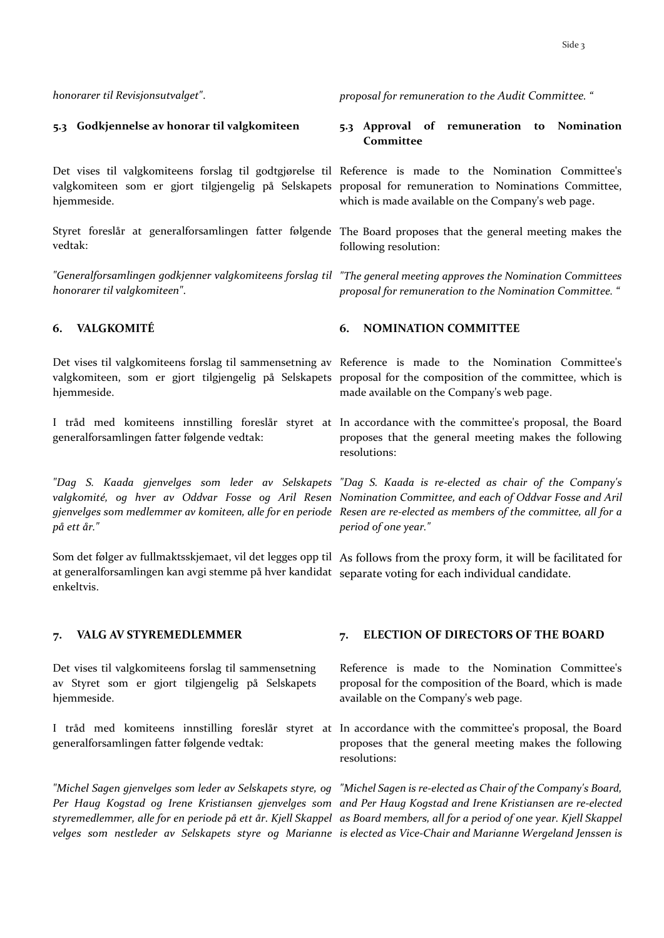# **5.3 Godkjennelse av honorar til valgkomiteen**

hjemmeside.

vedtak:

*honorarer til valgkomiteen"*.

hjemmeside.

generalforsamlingen fatter følgende vedtak:

*på ett år."*

at generalforsamlingen kan avgi stemme på hver kandidat separate voting for each individual candidate. enkeltvis.

Det vises til valgkomiteens forslag til sammensetning av Styret som er gjort tilgjengelig på Selskapets hjemmeside.

generalforsamlingen fatter følgende vedtak:

*honorarer til Revisjonsutvalget"*. *proposal for remuneration to the Audit Committee. "*

**5.3 Approval of remuneration to Nomination Committee**

Det vises til valgkomiteens forslag til godtgjørelse til Reference is made to the Nomination Committee's valgkomiteen som er gjort tilgjengelig på Selskapets proposal for remuneration to Nominations Committee, which is made available on the Company's web page.

Styret foreslår at generalforsamlingen fatter følgende The Board proposes that the general meeting makes the following resolution:

*"Generalforsamlingen godkjenner valgkomiteens forslag til "The general meeting approves the Nomination Committees proposal for remuneration to the Nomination Committee. "*

# **6. VALGKOMITÉ 6. NOMINATION COMMITTEE**

Det vises til valgkomiteens forslag til sammensetning av Reference is made to the Nomination Committee's valgkomiteen, som er gjort tilgjengelig på Selskapets proposal for the composition of the committee, which is made available on the Company's web page.

I tråd med komiteens innstilling foreslår styret at In accordance with the committee's proposal, the Board proposes that the general meeting makes the following resolutions:

*"Dag S. Kaada gjenvelges som leder av Selskapets "Dag S. Kaada is re-elected as chair of the Company's valgkomité, og hver av Oddvar Fosse og Aril Resen Nomination Committee, and each of Oddvar Fosse and Aril gjenvelges som medlemmer av komiteen, alle for en periode Resen are re-elected as members of the committee, all for a period of one year."*

Som det følger av fullmaktsskjemaet, vil det legges opp til As follows from the proxy form, it will be facilitated for

### **7. VALG AV STYREMEDLEMMER 7. ELECTION OF DIRECTORS OF THE BOARD**

Reference is made to the Nomination Committee's proposal for the composition of the Board, which is made available on the Company's web page.

I tråd med komiteens innstilling foreslår styret at In accordance with the committee's proposal, the Board proposes that the general meeting makes the following resolutions:

"Michel Sagen gjenvelges som leder av Selskapets styre, og "Michel Sagen is re-elected as Chair of the Company's Board, *Per Haug Kogstad og Irene Kristiansen gjenvelges som and Per Haug Kogstad and Irene Kristiansen are re-elected styremedlemmer, alle for en periode på ett år. Kjell Skappel as Board members, all for a period of one year. Kjell Skappel velges som nestleder av Selskapets styre og Marianne is elected as Vice-Chair and Marianne Wergeland Jenssen is*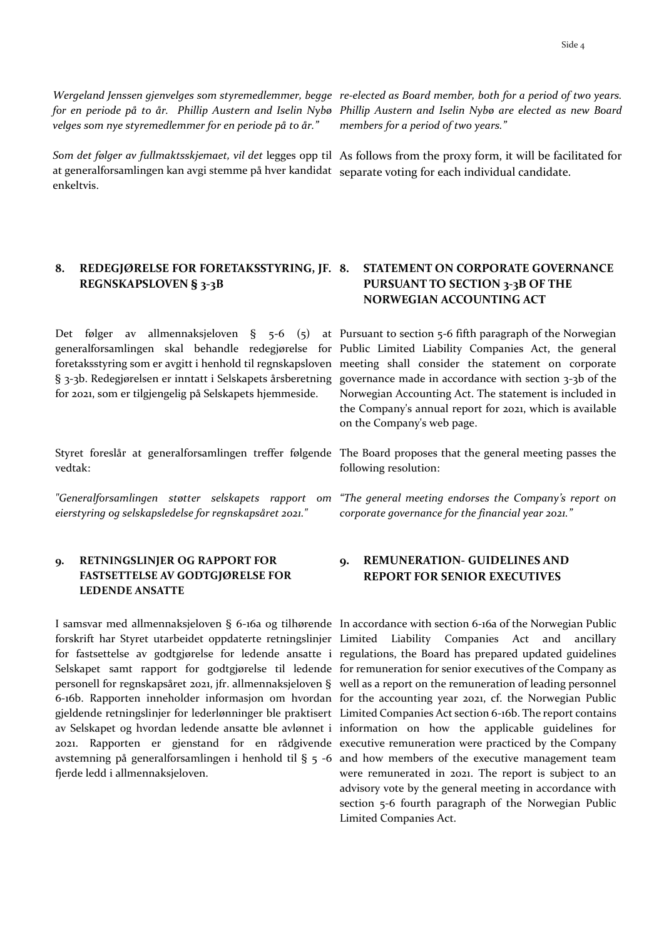*velges som nye styremedlemmer for en periode på to år."*

*Som det følger av fullmaktsskjemaet, vil det* legges opp til As follows from the proxy form, it will be facilitated for at generalforsamlingen kan avgi stemme på hver kandidat separate voting for each individual candidate. enkeltvis.

# **8. REDEGJØRELSE FOR FORETAKSSTYRING, JF. REGNSKAPSLOVEN § 3-3B**

for 2021, som er tilgjengelig på Selskapets hjemmeside.

vedtak:

*"Generalforsamlingen støtter selskapets rapport om eierstyring og selskapsledelse for regnskapsåret 2021."*

# **9. RETNINGSLINJER OG RAPPORT FOR FASTSETTELSE AV GODTGJØRELSE FOR LEDENDE ANSATTE**

fjerde ledd i allmennaksjeloven.

*Wergeland Jenssen gjenvelges som styremedlemmer, begge re-elected as Board member, both for a period of two years. for en periode på to år. Phillip Austern and Iselin Nybø Phillip Austern and Iselin Nybø are elected as new Board members for a period of two years."*

# **8TATEMENT ON CORPORATE GOVERNANCE PURSUANT TO SECTION 3-3B OF THE NORWEGIAN ACCOUNTING ACT**

Det følger av allmennaksjeloven § 5-6 (5) at Pursuant to section 5-6 fifth paragraph of the Norwegian generalforsamlingen skal behandle redegjørelse for Public Limited Liability Companies Act, the general foretaksstyring som er avgitt i henhold til regnskapsloven meeting shall consider the statement on corporate § 3-3b. Redegjørelsen er inntatt i Selskapets årsberetning governance made in accordance with section 3-3b of the Norwegian Accounting Act. The statement is included in the Company's annual report for 2021, which is available on the Company's web page.

Styret foreslår at generalforsamlingen treffer følgende The Board proposes that the general meeting passes the following resolution:

> *"The general meeting endorses the Company's report on corporate governance for the financial year 2021."*

# **9. REMUNERATION- GUIDELINES AND REPORT FOR SENIOR EXECUTIVES**

I samsvar med allmennaksjeloven § 6-16a og tilhørende In accordance with section 6-16a of the Norwegian Public forskrift har Styret utarbeidet oppdaterte retningslinjer Limited Liability Companies Act and ancillary for fastsettelse av godtgjørelse for ledende ansatte i regulations, the Board has prepared updated guidelines Selskapet samt rapport for godtgjørelse til ledende for remuneration for senior executives of the Company as personell for regnskapsåret 2021, jfr. allmennaksjeloven § well as a report on the remuneration of leading personnel 6-16b. Rapporten inneholder informasjon om hvordan for the accounting year 2021, cf. the Norwegian Public gjeldende retningslinjer for lederlønninger ble praktisert Limited Companies Act section 6-16b. The report contains av Selskapet og hvordan ledende ansatte ble avlønnet i information on how the applicable guidelines for 2021. Rapporten er gjenstand for en rådgivende executive remuneration were practiced by the Company avstemning på generalforsamlingen i henhold til § 5 -6 and how members of the executive management team were remunerated in 2021. The report is subject to an advisory vote by the general meeting in accordance with section 5-6 fourth paragraph of the Norwegian Public Limited Companies Act.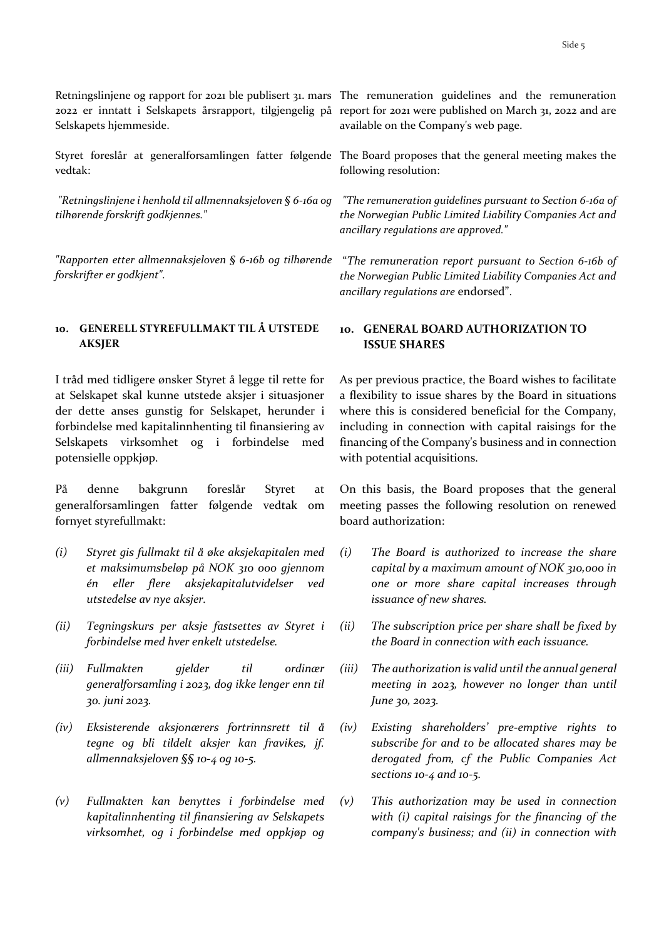Selskapets hjemmeside.

vedtak:

*"Retningslinjene i henhold til allmennaksjeloven § 6-16a og tilhørende forskrift godkjennes."*

*"Rapporten etter allmennaksjeloven § 6-16b og tilhørende forskrifter er godkjent".*

# **10. GENERELL STYREFULLMAKT TIL Å UTSTEDE AKSJER**

I tråd med tidligere ønsker Styret å legge til rette for at Selskapet skal kunne utstede aksjer i situasjoner der dette anses gunstig for Selskapet, herunder i forbindelse med kapitalinnhenting til finansiering av Selskapets virksomhet og i forbindelse med potensielle oppkjøp.

På denne bakgrunn foreslår Styret at generalforsamlingen fatter følgende vedtak om fornyet styrefullmakt:

- *(i) Styret gis fullmakt til å øke aksjekapitalen med et maksimumsbeløp på NOK 310 000 gjennom én eller flere aksjekapitalutvidelser ved utstedelse av nye aksjer.*
- *(ii) Tegningskurs per aksje fastsettes av Styret i forbindelse med hver enkelt utstedelse.*
- *(iii) Fullmakten gjelder til ordinær generalforsamling i 2023, dog ikke lenger enn til 30. juni 2023.*
- *(iv) Eksisterende aksjonærers fortrinnsrett til å tegne og bli tildelt aksjer kan fravikes, jf. allmennaksjeloven §§ 10-4 og 10-5.*
- *(v) Fullmakten kan benyttes i forbindelse med kapitalinnhenting til finansiering av Selskapets virksomhet, og i forbindelse med oppkjøp og*

Retningslinjene og rapport for 2021 ble publisert 31. mars The remuneration guidelines and the remuneration 2022 er inntatt i Selskapets årsrapport, tilgjengelig på report for 2021 were published on March 31, 2022 and are available on the Company's web page.

Styret foreslår at generalforsamlingen fatter følgende The Board proposes that the general meeting makes the following resolution:

> *"The remuneration guidelines pursuant to Section 6-16a of the Norwegian Public Limited Liability Companies Act and ancillary regulations are approved."*

> "*The remuneration report pursuant to Section 6-16b of the Norwegian Public Limited Liability Companies Act and ancillary regulations are* endorsed".

# **10. GENERAL BOARD AUTHORIZATION TO ISSUE SHARES**

As per previous practice, the Board wishes to facilitate a flexibility to issue shares by the Board in situations where this is considered beneficial for the Company, including in connection with capital raisings for the financing of the Company's business and in connection with potential acquisitions.

On this basis, the Board proposes that the general meeting passes the following resolution on renewed board authorization:

- *(i) The Board is authorized to increase the share capital by a maximum amount of NOK 310,000 in one or more share capital increases through issuance of new shares.*
- *(ii) The subscription price per share shall be fixed by the Board in connection with each issuance.*
- *(iii) The authorization is valid until the annual general meeting in 2023, however no longer than until June 30, 2023.*
- *(iv) Existing shareholders' pre-emptive rights to subscribe for and to be allocated shares may be derogated from, cf the Public Companies Act sections 10-4 and 10-5.*
- *(v) This authorization may be used in connection with (i) capital raisings for the financing of the company's business; and (ii) in connection with*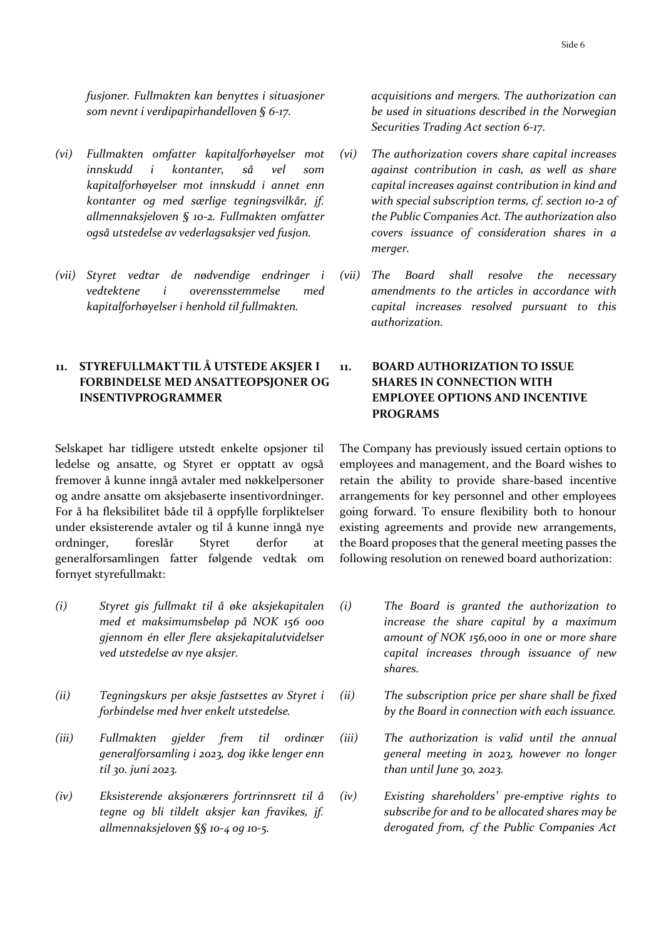*fusjoner. Fullmakten kan benyttes i situasjoner som nevnt i verdipapirhandelloven § 6-17.*

- *(vi) Fullmakten omfatter kapitalforhøyelser mot innskudd i kontanter, så vel som kapitalforhøyelser mot innskudd i annet enn kontanter og med særlige tegningsvilkår, jf. allmennaksjeloven § 10-2. Fullmakten omfatter også utstedelse av vederlagsaksjer ved fusjon.*
- *(vii) Styret vedtar de nødvendige endringer i vedtektene i overensstemmelse med kapitalforhøyelser i henhold til fullmakten.*

# **11. STYREFULLMAKT TIL Å UTSTEDE AKSJER I FORBINDELSE MED ANSATTEOPSJONER OG INSENTIVPROGRAMMER**

Selskapet har tidligere utstedt enkelte opsjoner til ledelse og ansatte, og Styret er opptatt av også fremover å kunne inngå avtaler med nøkkelpersoner og andre ansatte om aksjebaserte insentivordninger. For å ha fleksibilitet både til å oppfylle forpliktelser under eksisterende avtaler og til å kunne inngå nye ordninger, foreslår Styret derfor at generalforsamlingen fatter følgende vedtak om fornyet styrefullmakt:

- *(i) Styret gis fullmakt til å øke aksjekapitalen med et maksimumsbeløp på NOK 156 000 gjennom én eller flere aksjekapitalutvidelser ved utstedelse av nye aksjer.*
- *(ii) Tegningskurs per aksje fastsettes av Styret i forbindelse med hver enkelt utstedelse.*
- *(iii) Fullmakten gjelder frem til ordinær generalforsamling i 2023, dog ikke lenger enn til 30. juni 2023.*
- *(iv) Eksisterende aksjonærers fortrinnsrett til å tegne og bli tildelt aksjer kan fravikes, jf. allmennaksjeloven §§ 10-4 og 10-5.*

*acquisitions and mergers. The authorization can be used in situations described in the Norwegian Securities Trading Act section 6-17.*

- *(vi) The authorization covers share capital increases against contribution in cash, as well as share capital increases against contribution in kind and with special subscription terms, cf. section 10-2 of the Public Companies Act. The authorization also covers issuance of consideration shares in a merger.*
- *(vii) The Board shall resolve the necessary amendments to the articles in accordance with capital increases resolved pursuant to this authorization.*

# **11. BOARD AUTHORIZATION TO ISSUE SHARES IN CONNECTION WITH EMPLOYEE OPTIONS AND INCENTIVE PROGRAMS**

The Company has previously issued certain options to employees and management, and the Board wishes to retain the ability to provide share-based incentive arrangements for key personnel and other employees going forward. To ensure flexibility both to honour existing agreements and provide new arrangements, the Board proposes that the general meeting passes the following resolution on renewed board authorization:

- *(i) The Board is granted the authorization to increase the share capital by a maximum amount of NOK 156,000 in one or more share capital increases through issuance of new shares.*
- *(ii) The subscription price per share shall be fixed by the Board in connection with each issuance.*
- *(iii) The authorization is valid until the annual general meeting in 2023, however no longer than until June 30, 2023.*
- *(iv) Existing shareholders' pre-emptive rights to subscribe for and to be allocated shares may be derogated from, cf the Public Companies Act*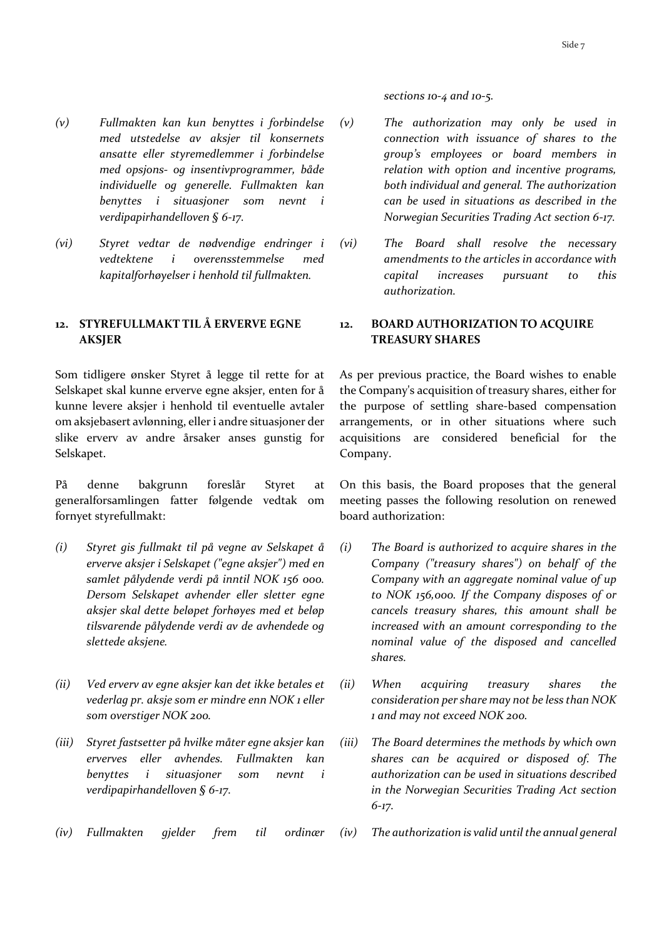*sections 10-4 and 10-5.*

- *(v) Fullmakten kan kun benyttes i forbindelse med utstedelse av aksjer til konsernets ansatte eller styremedlemmer i forbindelse med opsjons- og insentivprogrammer, både individuelle og generelle. Fullmakten kan benyttes i situasjoner som nevnt i verdipapirhandelloven § 6-17.*
- *(vi) Styret vedtar de nødvendige endringer i vedtektene i overensstemmelse med kapitalforhøyelser i henhold til fullmakten.*

# **12. STYREFULLMAKT TIL Å ERVERVE EGNE AKSJER**

Som tidligere ønsker Styret å legge til rette for at Selskapet skal kunne erverve egne aksjer, enten for å kunne levere aksjer i henhold til eventuelle avtaler om aksjebasert avlønning, eller i andre situasjoner der slike erverv av andre årsaker anses gunstig for Selskapet.

På denne bakgrunn foreslår Styret at generalforsamlingen fatter følgende vedtak om fornyet styrefullmakt:

- *(i) Styret gis fullmakt til på vegne av Selskapet å erverve aksjer i Selskapet ("egne aksjer") med en samlet pålydende verdi på inntil NOK 156 000. Dersom Selskapet avhender eller sletter egne aksjer skal dette beløpet forhøyes med et beløp tilsvarende pålydende verdi av de avhendede og slettede aksjene.*
- *(ii) Ved erverv av egne aksjer kan det ikke betales et vederlag pr. aksje som er mindre enn NOK 1 eller som overstiger NOK 200.*
- *(iii) Styret fastsetter på hvilke måter egne aksjer kan erverves eller avhendes. Fullmakten kan benyttes i situasjoner som nevnt i verdipapirhandelloven § 6-17.*
- 
- *(v) The authorization may only be used in connection with issuance of shares to the group's employees or board members in relation with option and incentive programs, both individual and general. The authorization can be used in situations as described in the Norwegian Securities Trading Act section 6-17.*
- *(vi) The Board shall resolve the necessary amendments to the articles in accordance with capital increases pursuant to this authorization.*

# **12. BOARD AUTHORIZATION TO ACQUIRE TREASURY SHARES**

As per previous practice, the Board wishes to enable the Company's acquisition of treasury shares, either for the purpose of settling share-based compensation arrangements, or in other situations where such acquisitions are considered beneficial for the Company.

On this basis, the Board proposes that the general meeting passes the following resolution on renewed board authorization:

- *(i) The Board is authorized to acquire shares in the Company ("treasury shares") on behalf of the Company with an aggregate nominal value of up to NOK 156,000. If the Company disposes of or cancels treasury shares, this amount shall be increased with an amount corresponding to the nominal value of the disposed and cancelled shares.*
- *(ii) When acquiring treasury shares the consideration per share may not be less than NOK 1 and may not exceed NOK 200.*
- *(iii) The Board determines the methods by which own shares can be acquired or disposed of. The authorization can be used in situations described in the Norwegian Securities Trading Act section 6-17.*
- *(iv) Fullmakten gjelder frem til ordinær (iv) The authorization is valid until the annual general*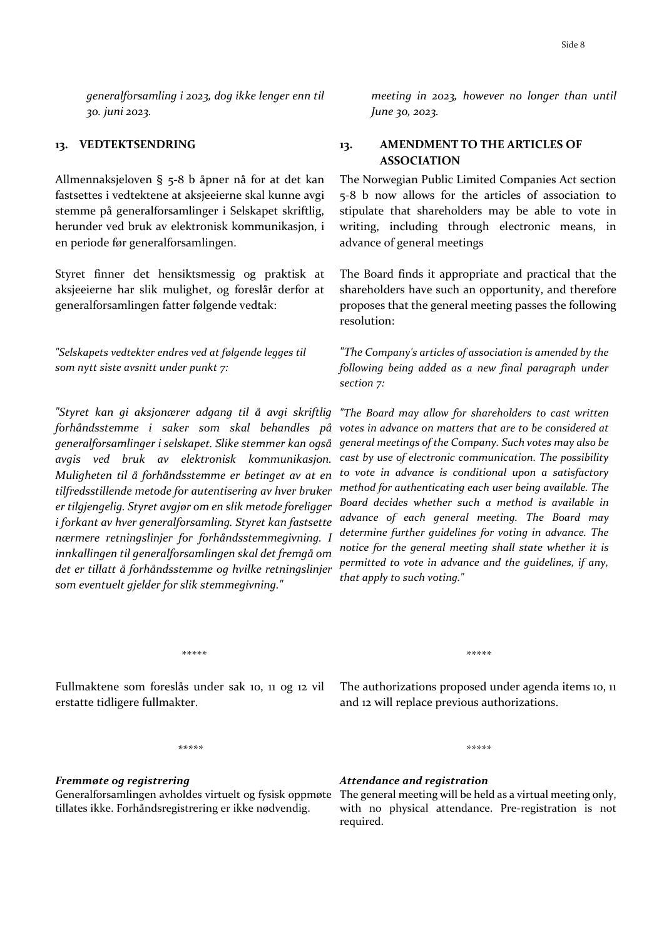*generalforsamling i 2023, dog ikke lenger enn til 30. juni 2023.* 

Allmennaksjeloven § 5-8 b åpner nå for at det kan fastsettes i vedtektene at aksjeeierne skal kunne avgi stemme på generalforsamlinger i Selskapet skriftlig, herunder ved bruk av elektronisk kommunikasjon, i en periode før generalforsamlingen.

Styret finner det hensiktsmessig og praktisk at aksjeeierne har slik mulighet, og foreslår derfor at generalforsamlingen fatter følgende vedtak:

*"Selskapets vedtekter endres ved at følgende legges til som nytt siste avsnitt under punkt 7:* 

*"Styret kan gi aksjonærer adgang til å avgi skriftlig forhåndsstemme i saker som skal behandles på generalforsamlinger i selskapet. Slike stemmer kan også avgis ved bruk av elektronisk kommunikasjon. Muligheten til å forhåndsstemme er betinget av at en tilfredsstillende metode for autentisering av hver bruker er tilgjengelig. Styret avgjør om en slik metode foreligger i forkant av hver generalforsamling. Styret kan fastsette nærmere retningslinjer for forhåndsstemmegivning. I innkallingen til generalforsamlingen skal det fremgå om det er tillatt å forhåndsstemme og hvilke retningslinjer som eventuelt gjelder for slik stemmegivning."*

*meeting in 2023, however no longer than until June 30, 2023.* 

# **13. VEDTEKTSENDRING 13. AMENDMENT TO THE ARTICLES OF ASSOCIATION**

The Norwegian Public Limited Companies Act section 5-8 b now allows for the articles of association to stipulate that shareholders may be able to vote in writing, including through electronic means, in advance of general meetings

The Board finds it appropriate and practical that the shareholders have such an opportunity, and therefore proposes that the general meeting passes the following resolution:

*"The Company's articles of association is amended by the following being added as a new final paragraph under section 7:*

*"The Board may allow for shareholders to cast written votes in advance on matters that are to be considered at general meetings of the Company. Such votes may also be cast by use of electronic communication. The possibility to vote in advance is conditional upon a satisfactory method for authenticating each user being available. The Board decides whether such a method is available in advance of each general meeting. The Board may determine further guidelines for voting in advance. The notice for the general meeting shall state whether it is permitted to vote in advance and the guidelines, if any, that apply to such voting."*

*\*\*\*\*\* \*\*\*\*\**

Fullmaktene som foreslås under sak 10, 11 og 12 vil erstatte tidligere fullmakter.

The authorizations proposed under agenda items 10, 11 and 12 will replace previous authorizations.

*\*\*\*\*\**

*\*\*\*\*\**

# *Fremmøte og registrering* Generalforsamlingen avholdes virtuelt og fysisk oppmøte The general meeting will be held as a virtual meeting only, tillates ikke. Forhåndsregistrering er ikke nødvendig.

# *Attendance and registration*

with no physical attendance. Pre-registration is not required.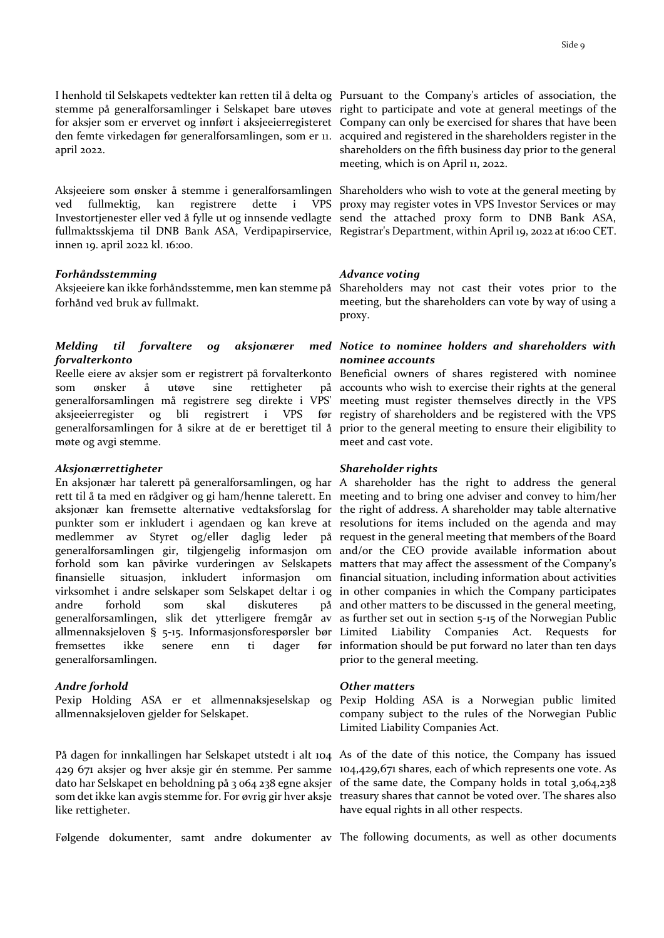I henhold til Selskapets vedtekter kan retten til å delta og Pursuant to the Company's articles of association, the april 2022.

Aksjeeiere som ønsker å stemme i generalforsamlingen Shareholders who wish to vote at the general meeting by ved fullmektig, kan registrere dette i VPS proxy may register votes in VPS Investor Services or may Investortjenester eller ved å fylle ut og innsende vedlagte send the attached proxy form to DNB Bank ASA, fullmaktsskjema til DNB Bank ASA, Verdipapirservice, Registrar's Department, within April 19, 2022 at 16:00 CET. innen 19. april 2022 kl. 16:00.

#### *Forhåndsstemming*

Aksjeeiere kan ikke forhåndsstemme, men kan stemme på Shareholders may not cast their votes prior to the forhånd ved bruk av fullmakt.

### *Melding til forvaltere og aksjonærer forvalterkonto*

Reelle eiere av aksjer som er registrert på forvalterkonto Beneficial owners of shares registered with nominee som ønsker å utøve sine rettigheter generalforsamlingen må registrere seg direkte i VPS' aksjeeierregister og bli registrert i VPS generalforsamlingen for å sikre at de er berettiget til å prior to the general meeting to ensure their eligibility to møte og avgi stemme.

#### *Aksjonærrettigheter*

En aksjonær har talerett på generalforsamlingen, og har A shareholder has the right to address the general rett til å ta med en rådgiver og gi ham/henne talerett. En meeting and to bring one adviser and convey to him/her aksjonær kan fremsette alternative vedtaksforslag for the right of address. A shareholder may table alternative punkter som er inkludert i agendaen og kan kreve at resolutions for items included on the agenda and may medlemmer av Styret og/eller daglig leder på request in the general meeting that members of the Board generalforsamlingen gir, tilgjengelig informasjon om and/or the CEO provide available information about forhold som kan påvirke vurderingen av Selskapets matters that may affect the assessment of the Company's finansielle situasjon, inkludert informasjon virksomhet i andre selskaper som Selskapet deltar i og in other companies in which the Company participates andre forhold som skal diskuteres generalforsamlingen, slik det ytterligere fremgår av as further set out in section 5-15 of the Norwegian Public allmennaksjeloven § 5-15. Informasjonsforespørsler bør fremsettes ikke senere enn ti dager generalforsamlingen.

#### *Andre forhold*

Pexip Holding ASA er et allmennaksjeselskap og Pexip Holding ASA is a Norwegian public limited allmennaksjeloven gjelder for Selskapet.

like rettigheter.

stemme på generalforsamlinger i Selskapet bare utøves right to participate and vote at general meetings of the for aksjer som er ervervet og innført i aksjeeierregisteret Company can only be exercised for shares that have been den femte virkedagen før generalforsamlingen, som er 11. acquired and registered in the shareholders register in the shareholders on the fifth business day prior to the general meeting, which is on April 11, 2022.

#### *Advance voting*

meeting, but the shareholders can vote by way of using a proxy.

# *Notice to nominee holders and shareholders with nominee accounts*

accounts who wish to exercise their rights at the general meeting must register themselves directly in the VPS før registry of shareholders and be registered with the VPS meet and cast vote.

#### *Shareholder rights*

financial situation, including information about activities and other matters to be discussed in the general meeting, Companies Act. Requests for før information should be put forward no later than ten days prior to the general meeting.

#### *Other matters*

company subject to the rules of the Norwegian Public Limited Liability Companies Act.

På dagen for innkallingen har Selskapet utstedt i alt 104 As of the date of this notice, the Company has issued 429 671 aksjer og hver aksje gir én stemme. Per samme 104,429,671 shares, each of which represents one vote. As dato har Selskapet en beholdning på 3 064 238 egne aksjer of the same date, the Company holds in total 3,064,238 som det ikke kan avgis stemme for. For øvrig gir hver aksje treasury shares that cannot be voted over. The shares also have equal rights in all other respects.

Følgende dokumenter, samt andre dokumenter av The following documents, as well as other documents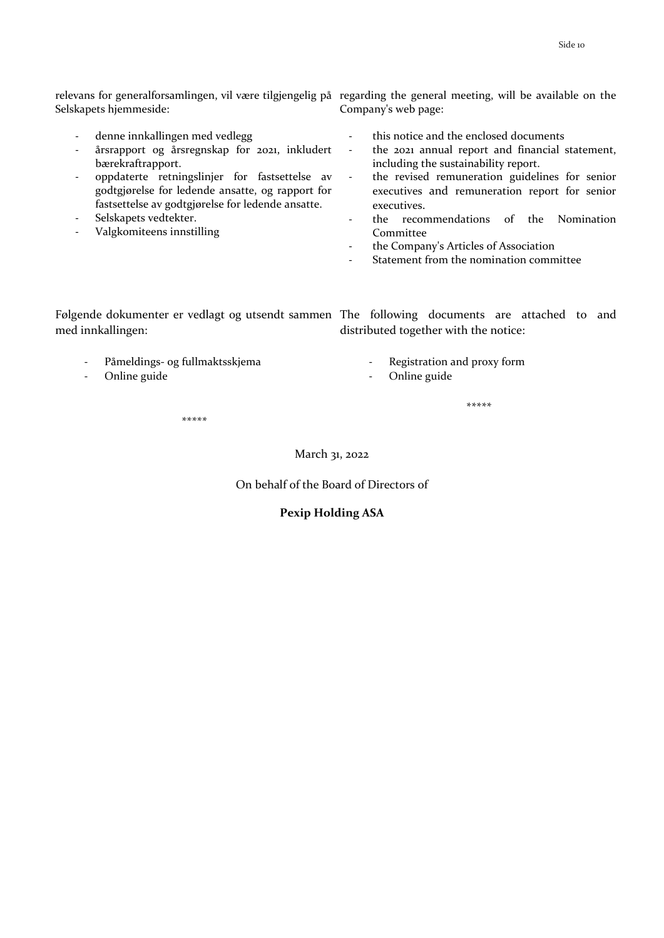Selskapets hjemmeside:

- denne innkallingen med vedlegg
- årsrapport og årsregnskap for 2021, inkludert bærekraftrapport.
- oppdaterte retningslinjer for fastsettelse av godtgjørelse for ledende ansatte, og rapport for fastsettelse av godtgjørelse for ledende ansatte.
- Selskapets vedtekter.
- Valgkomiteens innstilling

relevans for generalforsamlingen, vil være tilgjengelig på regarding the general meeting, will be available on the Company's web page:

- this notice and the enclosed documents
- the 2021 annual report and financial statement, including the sustainability report.
- the revised remuneration guidelines for senior executives and remuneration report for senior executives.
- the recommendations of the Nomination Committee
- the Company's Articles of Association
- Statement from the nomination committee

Følgende dokumenter er vedlagt og utsendt sammen The following documents are attached to and med innkallingen: distributed together with the notice:

- Påmeldings- og fullmaktsskjema
- Online guide
- Registration and proxy form
- Online guide

*\*\*\*\*\**

*\*\*\*\*\**

#### March 31, 2022

On behalf of the Board of Directors of

### **Pexip Holding ASA**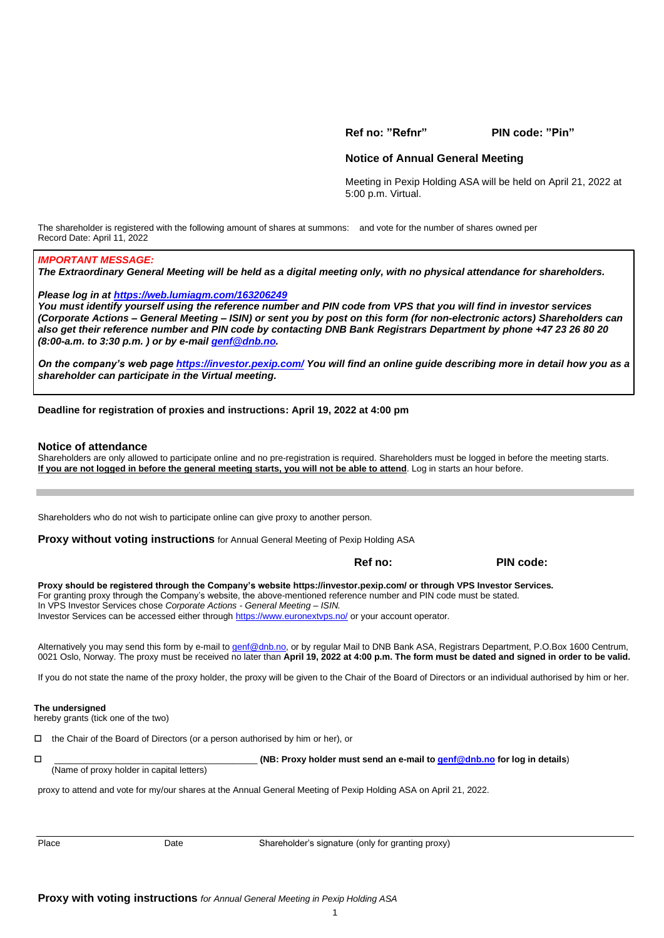**Ref no: "Refnr" PIN code: "Pin"**

#### **Notice of Annual General Meeting**

Meeting in Pexip Holding ASA will be held on April 21, 2022 at 5:00 p.m. Virtual.

The shareholder is registered with the following amount of shares at summons: and vote for the number of shares owned per Record Date: April 11, 2022

#### *IMPORTANT MESSAGE:*

*The Extraordinary General Meeting will be held as a digital meeting only, with no physical attendance for shareholders.*

*Please log in at [https://web.lumiagm.com/163206249](https://web.lumiagm.com/xxxxxxxxx)*

*You must identify yourself using the reference number and PIN code from VPS that you will find in investor services (Corporate Actions – General Meeting – ISIN) or sent you by post on this form (for non-electronic actors) Shareholders can also get their reference number and PIN code by contacting DNB Bank Registrars Department by phone +47 23 26 80 20 (8:00-a.m. to 3:30 p.m. ) or by e-mai[l genf@dnb.no.](mailto:genf@dnb.no)*

*On the company's web page<https://investor.pexip.com/> You will find an online guide describing more in detail how you as a shareholder can participate in the Virtual meeting.* 

#### **Deadline for registration of proxies and instructions: April 19, 2022 at 4:00 pm**

#### **Notice of attendance**

Shareholders are only allowed to participate online and no pre-registration is required. Shareholders must be logged in before the meeting starts. **If you are not logged in before the general meeting starts, you will not be able to attend**. Log in starts an hour before.

Shareholders who do not wish to participate online can give proxy to another person.

**Proxy without voting instructions** for Annual General Meeting of Pexip Holding ASA

 **Ref no: PIN code:**

**Proxy should be registered through the Company's website<https://investor.pexip.com/> or through VPS Investor Services.** For granting proxy through the Company's website, the above-mentioned reference number and PIN code must be stated. In VPS Investor Services chose *Corporate Actions - General Meeting – ISIN.* Investor Services can be accessed either throug[h https://www.euronextvps.no/](https://www.euronextvps.no/) or your account operator*.*

Alternatively you may send this form by e-mail t[o genf@dnb.no,](mailto:genf@dnb.no) or by regular Mail to DNB Bank ASA, Registrars Department, P.O.Box 1600 Centrum, 0021 Oslo, Norway. The proxy must be received no later than **April 19, 2022 at 4:00 p.m. The form must be dated and signed in order to be valid.**

If you do not state the name of the proxy holder, the proxy will be given to the Chair of the Board of Directors or an individual authorised by him or her.

#### **The undersigned**

hereby grants (tick one of the two)

 $\Box$  the Chair of the Board of Directors (or a person authorised by him or her), or

| $\overline{\phantom{0}}$ |                                           | (NB: Proxy holder must send an e-mail to genf@dnb.no for log in details) |
|--------------------------|-------------------------------------------|--------------------------------------------------------------------------|
|                          | (Name of proxy holder in capital letters) |                                                                          |

proxy to attend and vote for my/our shares at the Annual General Meeting of Pexip Holding ASA on April 21, 2022.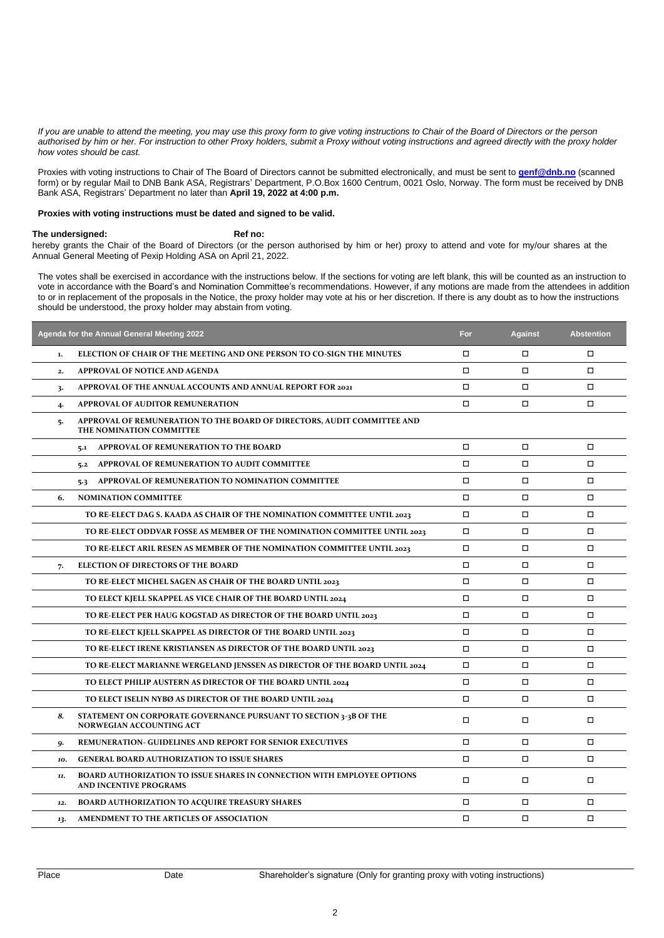*If you are unable to attend the meeting, you may use this proxy form to give voting instructions to Chair of the Board of Directors or the person authorised by him or her. For instruction to other Proxy holders, submit a Proxy without voting instructions and agreed directly with the proxy holder how votes should be cast.*

Proxies with voting instructions to Chair of The Board of Directors cannot be submitted electronically, and must be sent to **[genf@dnb.no](mailto:genf@dnb.no)** (scanned form) or by regular Mail to DNB Bank ASA, Registrars' Department, P.O.Box 1600 Centrum, 0021 Oslo, Norway. The form must be received by DNB Bank ASA, Registrars' Department no later than **April 19, 2022 at 4:00 p.m.**

#### **Proxies with voting instructions must be dated and signed to be valid.**

#### The undersigned: **Ref** no:

hereby grants the Chair of the Board of Directors (or the person authorised by him or her) proxy to attend and vote for my/our shares at the Annual General Meeting of Pexip Holding ASA on April 21, 2022.

The votes shall be exercised in accordance with the instructions below. If the sections for voting are left blank, this will be counted as an instruction to vote in accordance with the Board's and Nomination Committee's recommendations. However, if any motions are made from the attendees in addition to or in replacement of the proposals in the Notice, the proxy holder may vote at his or her discretion. If there is any doubt as to how the instructions should be understood, the proxy holder may abstain from voting.

|     | Agenda for the Annual General Meeting 2022                                                                      | For    | <b>Against</b> | <b>Abstention</b> |
|-----|-----------------------------------------------------------------------------------------------------------------|--------|----------------|-------------------|
| 1.  | ELECTION OF CHAIR OF THE MEETING AND ONE PERSON TO CO-SIGN THE MINUTES                                          | $\Box$ | $\Box$         | $\Box$            |
| 2.  | APPROVAL OF NOTICE AND AGENDA                                                                                   | $\Box$ | $\Box$         | $\Box$            |
| 3.  | APPROVAL OF THE ANNUAL ACCOUNTS AND ANNUAL REPORT FOR 2021                                                      | $\Box$ | $\Box$         | $\Box$            |
| 4.  | APPROVAL OF AUDITOR REMUNERATION                                                                                | $\Box$ | $\Box$         | □                 |
| 5.  | APPROVAL OF REMUNERATION TO THE BOARD OF DIRECTORS, AUDIT COMMITTEE AND<br>THE NOMINATION COMMITTEE             |        |                |                   |
|     | APPROVAL OF REMUNERATION TO THE BOARD<br>5.1                                                                    | $\Box$ | $\Box$         | $\Box$            |
|     | APPROVAL OF REMUNERATION TO AUDIT COMMITTEE<br>5.2                                                              | $\Box$ | $\Box$         | □                 |
|     | <b>APPROVAL OF REMUNERATION TO NOMINATION COMMITTEE</b><br>5.3                                                  | □      | $\Box$         | □                 |
| 6.  | <b>NOMINATION COMMITTEE</b>                                                                                     | $\Box$ | $\Box$         | $\Box$            |
|     | TO RE-ELECT DAG S. KAADA AS CHAIR OF THE NOMINATION COMMITTEE UNTIL 2023                                        | $\Box$ | $\Box$         | $\Box$            |
|     | TO RE-ELECT ODDVAR FOSSE AS MEMBER OF THE NOMINATION COMMITTEE UNTIL 2023                                       | □      | $\Box$         | □                 |
|     | TO RE-ELECT ARIL RESEN AS MEMBER OF THE NOMINATION COMMITTEE UNTIL 2023                                         | $\Box$ | $\Box$         | $\Box$            |
| 7.  | <b>ELECTION OF DIRECTORS OF THE BOARD</b>                                                                       | $\Box$ | $\Box$         | $\Box$            |
|     | TO RE-ELECT MICHEL SAGEN AS CHAIR OF THE BOARD UNTIL 2023                                                       | $\Box$ | $\Box$         | □                 |
|     | TO ELECT KJELL SKAPPEL AS VICE CHAIR OF THE BOARD UNTIL 2024                                                    | □      | $\Box$         | $\Box$            |
|     | TO RE-ELECT PER HAUG KOGSTAD AS DIRECTOR OF THE BOARD UNTIL 2023                                                | $\Box$ | $\Box$         | $\Box$            |
|     | TO RE-ELECT KJELL SKAPPEL AS DIRECTOR OF THE BOARD UNTIL 2023                                                   | $\Box$ | $\Box$         | $\Box$            |
|     | TO RE-ELECT IRENE KRISTIANSEN AS DIRECTOR OF THE BOARD UNTIL 2023                                               | $\Box$ | $\Box$         | □                 |
|     | TO RE-ELECT MARIANNE WERGELAND JENSSEN AS DIRECTOR OF THE BOARD UNTIL 2024                                      | $\Box$ | $\Box$         | $\Box$            |
|     | TO ELECT PHILIP AUSTERN AS DIRECTOR OF THE BOARD UNTIL 2024                                                     | $\Box$ | $\Box$         | $\Box$            |
|     | TO ELECT ISELIN NYBØ AS DIRECTOR OF THE BOARD UNTIL 2024                                                        | $\Box$ | $\Box$         | $\Box$            |
| 8.  | STATEMENT ON CORPORATE GOVERNANCE PURSUANT TO SECTION 3-3B OF THE<br><b>NORWEGIAN ACCOUNTING ACT</b>            | $\Box$ | $\Box$         | □                 |
| g.  | REMUNERATION- GUIDELINES AND REPORT FOR SENIOR EXECUTIVES                                                       | $\Box$ | $\Box$         | $\Box$            |
| 10. | <b>GENERAL BOARD AUTHORIZATION TO ISSUE SHARES</b>                                                              | $\Box$ | $\Box$         | $\Box$            |
| 11. | <b>BOARD AUTHORIZATION TO ISSUE SHARES IN CONNECTION WITH EMPLOYEE OPTIONS</b><br><b>AND INCENTIVE PROGRAMS</b> | $\Box$ | $\Box$         | □                 |
| 12. | <b>BOARD AUTHORIZATION TO ACQUIRE TREASURY SHARES</b>                                                           | $\Box$ | $\Box$         | $\Box$            |
| 13. | AMENDMENT TO THE ARTICLES OF ASSOCIATION                                                                        | $\Box$ | $\Box$         | $\Box$            |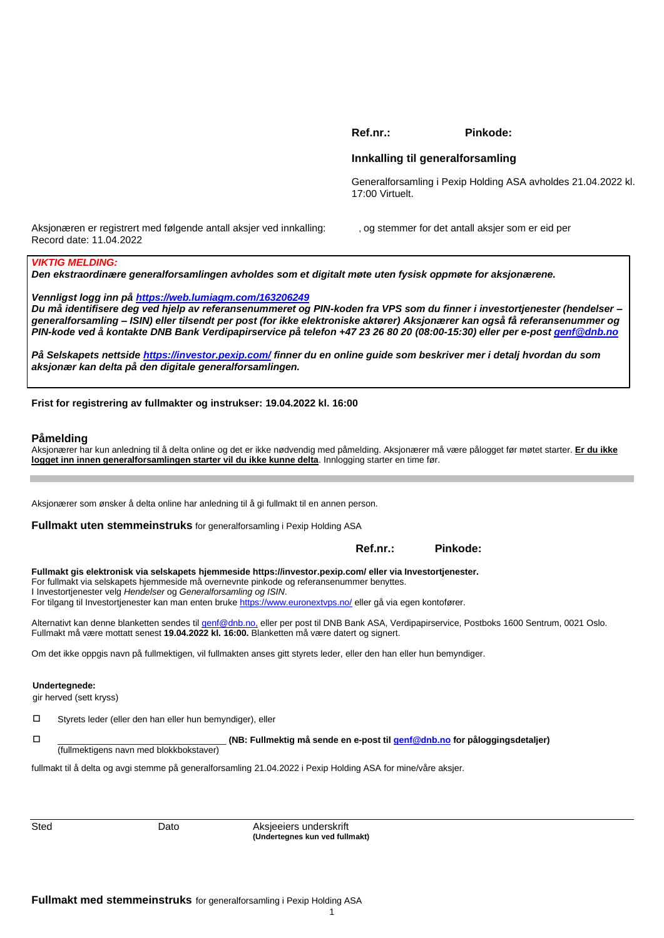**Ref.nr.: Pinkode:** 

#### **Innkalling til generalforsamling**

Generalforsamling i Pexip Holding ASA avholdes 21.04.2022 kl. 17:00 Virtuelt.

Aksjonæren er registrert med følgende antall aksjer ved innkalling: , og stemmer for det antall aksjer som er eid per Record date: 11.04.2022

#### *VIKTIG MELDING:*

*Den ekstraordinære generalforsamlingen avholdes som et digitalt møte uten fysisk oppmøte for aksjonærene.*

*Vennligst logg inn på [https://web.lumiagm.com/163206249](https://web.lumiagm.com/xxxxxxxxx)*

*Du må identifisere deg ved hjelp av referansenummeret og PIN-koden fra VPS som du finner i investortjenester (hendelser – generalforsamling – ISIN) eller tilsendt per post (for ikke elektroniske aktører) Aksjonærer kan også få referansenummer og PIN-kode ved å kontakte DNB Bank Verdipapirservice på telefon +47 23 26 80 20 (08:00-15:30) eller per e-post [genf@dnb.no](mailto:genf@dnb.no)*

*På Selskapets nettside<https://investor.pexip.com/> finner du en online guide som beskriver mer i detalj hvordan du som aksjonær kan delta på den digitale generalforsamlingen.*

**Frist for registrering av fullmakter og instrukser: 19.04.2022 kl. 16:00**

#### **Påmelding**

Aksjonærer har kun anledning til å delta online og det er ikke nødvendig med påmelding. Aksjonærer må være pålogget før møtet starter. **Er du ikke logget inn innen generalforsamlingen starter vil du ikke kunne delta**. Innlogging starter en time før.

Aksjonærer som ønsker å delta online har anledning til å gi fullmakt til en annen person.

**Fullmakt uten stemmeinstruks** for generalforsamling i Pexip Holding ASA

|                                                                                                                                                                                                                                                                                                                                                                                                | 1151.III | г шкичс. |  |
|------------------------------------------------------------------------------------------------------------------------------------------------------------------------------------------------------------------------------------------------------------------------------------------------------------------------------------------------------------------------------------------------|----------|----------|--|
| Fullmakt gis elektronisk via selskapets hjemmeside https://investor.pexip.com/eller via Investortjenester.<br>For fullmakt via selskapets hjemmeside må overnevnte pinkode og referansenummer benyttes.<br>I Investortjenester velg Hendelser og Generalforsamling og ISIN.<br>For tilgang til Investortjenester kan man enten bruke https://www.euronextyps.no/ eller gå via egen kontofører. |          |          |  |
| Alternativt kan denne blanketten sendes til genf@dnb.no, eller per post til DNB Bank ASA, Verdipapirservice, Postboks 1600 Sentrum, 0021 Oslo.<br>Fullmakt må være mottatt senest 19.04.2022 kl. 16:00. Blanketten må være datert og signert.                                                                                                                                                  |          |          |  |
| Om det ikke oppgis navn på fullmektigen, vil fullmakten anses gitt styrets leder, eller den han eller hun bemyndiger.                                                                                                                                                                                                                                                                          |          |          |  |
|                                                                                                                                                                                                                                                                                                                                                                                                |          |          |  |

**Undertegnede:** 

gir herved (sett kryss)

Styrets leder (eller den han eller hun bemyndiger), eller

\_\_\_\_\_\_\_\_\_\_\_\_\_\_\_\_\_\_\_\_\_\_\_\_\_\_\_\_\_\_\_\_\_\_ **(NB: Fullmektig må sende en e-post til [genf@dnb.no](mailto:genf@dnb.no) for påloggingsdetaljer)**

**Ref.nr.: Pinkode:**

(fullmektigens navn med blokkbokstaver)

fullmakt til å delta og avgi stemme på generalforsamling 21.04.2022 i Pexip Holding ASA for mine/våre aksjer.

Sted Dato Dato Aksjeeiers underskrift **(Undertegnes kun ved fullmakt)**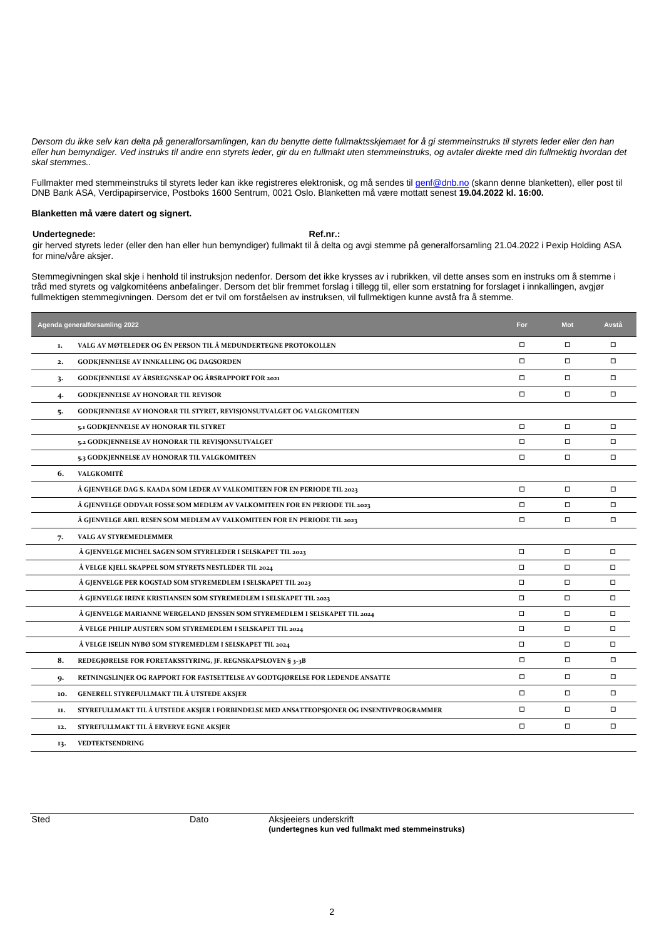*Dersom du ikke selv kan delta på generalforsamlingen, kan du benytte dette fullmaktsskjemaet for å gi stemmeinstruks til styrets leder eller den han eller hun bemyndiger. Ved instruks til andre enn styrets leder, gir du en fullmakt uten stemmeinstruks, og avtaler direkte med din fullmektig hvordan det skal stemmes..*

Fullmakter med stemmeinstruks til styrets leder kan ikke registreres elektronisk, og må sendes til <u>[genf@dnb.no](mailto:genf@dnb.no)</u> (skann denne blanketten), eller post til DNB Bank ASA, Verdipapirservice, Postboks 1600 Sentrum, 0021 Oslo. Blanketten må være mottatt senest **19.04.2022 kl. 16:00.**

#### **Blanketten må være datert og signert.**

#### Undertegnede: **Ref.nr.:** Ref.nr.:

gir herved styrets leder (eller den han eller hun bemyndiger) fullmakt til å delta og avgi stemme på generalforsamling 21.04.2022 i Pexip Holding ASA for mine/våre aksjer.

Stemmegivningen skal skje i henhold til instruksjon nedenfor. Dersom det ikke krysses av i rubrikken, vil dette anses som en instruks om å stemme i tråd med styrets og valgkomitéens anbefalinger. Dersom det blir fremmet forslag i tillegg til, eller som erstatning for forslaget i innkallingen, avgjør fullmektigen stemmegivningen. Dersom det er tvil om forståelsen av instruksen, vil fullmektigen kunne avstå fra å stemme.

|     | Agenda generalforsamling 2022                                                              | For    | <b>Mot</b> | Avstå  |
|-----|--------------------------------------------------------------------------------------------|--------|------------|--------|
| 1.  | VALG AV MØTELEDER OG ÉN PERSON TIL Å MEDUNDERTEGNE PROTOKOLLEN                             | $\Box$ | $\Box$     | $\Box$ |
| 2.  | GODKJENNELSE AV INNKALLING OG DAGSORDEN                                                    | $\Box$ | $\Box$     | $\Box$ |
| 3.  | <b>GODKJENNELSE AV ÅRSREGNSKAP OG ÅRSRAPPORT FOR 2021</b>                                  | $\Box$ | $\Box$     | $\Box$ |
| 4.  | <b>GODKJENNELSE AV HONORAR TIL REVISOR</b>                                                 | $\Box$ | $\Box$     | $\Box$ |
| 5.  | GODKJENNELSE AV HONORAR TIL STYRET, REVISJONSUTVALGET OG VALGKOMITEEN                      |        |            |        |
|     | 5.1 GODKJENNELSE AV HONORAR TIL STYRET                                                     | $\Box$ | $\Box$     | $\Box$ |
|     | 5.2 GODKJENNELSE AV HONORAR TIL REVISJONSUTVALGET                                          | $\Box$ | $\Box$     | $\Box$ |
|     | 5.3 GODKJENNELSE AV HONORAR TIL VALGKOMITEEN                                               | $\Box$ | $\Box$     | $\Box$ |
| 6.  | VALGKOMITÉ                                                                                 |        |            |        |
|     | Å GJENVELGE DAG S. KAADA SOM LEDER AV VALKOMITEEN FOR EN PERIODE TIL 2023                  | $\Box$ | $\Box$     | $\Box$ |
|     | Å GJENVELGE ODDVAR FOSSE SOM MEDLEM AV VALKOMITEEN FOR EN PERIODE TIL 2023                 | $\Box$ | $\Box$     | $\Box$ |
|     | Å GJENVELGE ARIL RESEN SOM MEDLEM AV VALKOMITEEN FOR EN PERIODE TIL 2023                   | $\Box$ | $\Box$     | $\Box$ |
| 7.  | VALG AV STYREMEDLEMMER                                                                     |        |            |        |
|     | Å GJENVELGE MICHEL SAGEN SOM STYRELEDER I SELSKAPET TIL 2023                               | $\Box$ | $\Box$     | □      |
|     | Å VELGE KJELL SKAPPEL SOM STYRETS NESTLEDER TIL 2024                                       | $\Box$ | $\Box$     | □      |
|     | Å GJENVELGE PER KOGSTAD SOM STYREMEDLEM I SELSKAPET TIL 2023                               | $\Box$ | $\Box$     | $\Box$ |
|     | Å GJENVELGE IRENE KRISTIANSEN SOM STYREMEDLEM I SELSKAPET TIL 2023                         | $\Box$ | $\Box$     | □      |
|     | Å GJENVELGE MARIANNE WERGELAND JENSSEN SOM STYREMEDLEM I SELSKAPET TIL 2024                | $\Box$ | $\Box$     | □      |
|     | Å VELGE PHILIP AUSTERN SOM STYREMEDLEM I SELSKAPET TIL 2024                                | $\Box$ | $\Box$     | □      |
|     | Å VELGE ISELIN NYBØ SOM STYREMEDLEM I SELSKAPET TIL 2024                                   | $\Box$ | $\Box$     | $\Box$ |
| 8.  | REDEGJØRELSE FOR FORETAKSSTYRING, JF. REGNSKAPSLOVEN § 3-3B                                | $\Box$ | $\Box$     | $\Box$ |
| 9.  | RETNINGSLINJER OG RAPPORT FOR FASTSETTELSE AV GODTGJØRELSE FOR LEDENDE ANSATTE             | $\Box$ | $\Box$     | $\Box$ |
| 10. | GENERELL STYREFULLMAKT TIL Å UTSTEDE AKSJER                                                | $\Box$ | $\Box$     | $\Box$ |
| 11. | STYREFULLMAKT TIL Å UTSTEDE AKSJER I FORBINDELSE MED ANSATTEOPSJONER OG INSENTIVPROGRAMMER | $\Box$ | $\Box$     | $\Box$ |
| 12. | STYREFULLMAKT TIL Å ERVERVE EGNE AKSJER                                                    | $\Box$ | $\Box$     | $\Box$ |
| 13. | <b>VEDTEKTSENDRING</b>                                                                     |        |            |        |

Sted **Dato** Dato **Aksjeeiers underskrift (undertegnes kun ved fullmakt med stemmeinstruks)**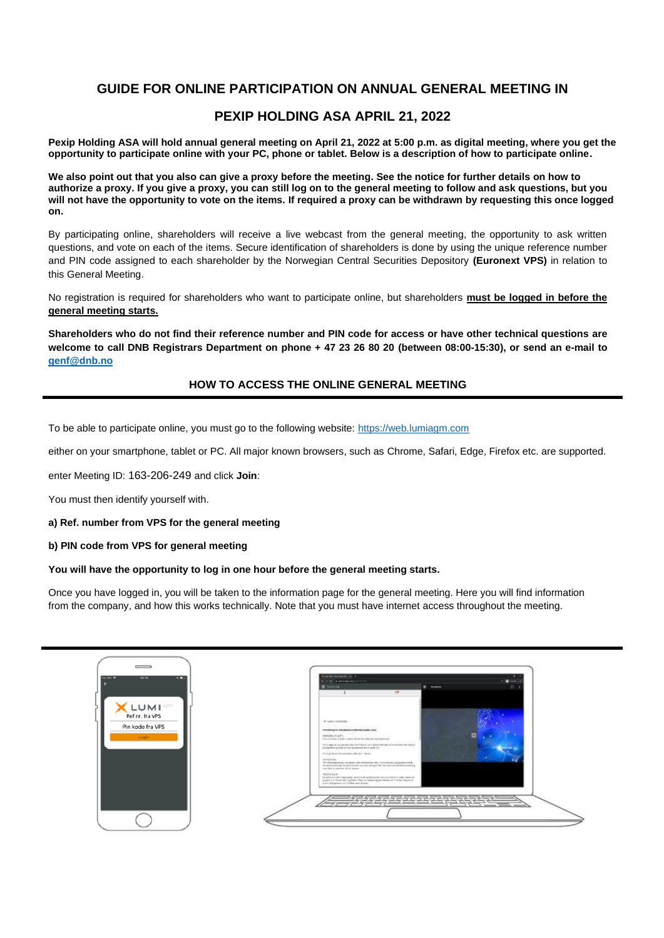# **GUIDE FOR ONLINE PARTICIPATION ON ANNUAL GENERAL MEETING IN**

# **PEXIP HOLDING ASA APRIL 21, 2022**

**Pexip Holding ASA will hold annual general meeting on April 21, 2022 at 5:00 p.m. as digital meeting, where you get the opportunity to participate online with your PC, phone or tablet. Below is a description of how to participate online.**

**We also point out that you also can give a proxy before the meeting. See the notice for further details on how to authorize a proxy. If you give a proxy, you can still log on to the general meeting to follow and ask questions, but you will not have the opportunity to vote on the items. If required a proxy can be withdrawn by requesting this once logged on.**

By participating online, shareholders will receive a live webcast from the general meeting, the opportunity to ask written questions, and vote on each of the items. Secure identification of shareholders is done by using the unique reference number and PIN code assigned to each shareholder by the Norwegian Central Securities Depository **(Euronext VPS)** in relation to this General Meeting.

No registration is required for shareholders who want to participate online, but shareholders **must be logged in before the general meeting starts.**

**Shareholders who do not find their reference number and PIN code for access or have other technical questions are welcome to call DNB Registrars Department on phone + 47 23 26 80 20 (between 08:00-15:30), or send an e-mail to [genf@dnb.no](mailto:genf@dnb.no)**

# **HOW TO ACCESS THE ONLINE GENERAL MEETING**

To be able to participate online, you must go to the following website: [https://web.lumiagm.com](https://web.lumiagm.com/)

either on your smartphone, tablet or PC. All major known browsers, such as Chrome, Safari, Edge, Firefox etc. are supported.

enter Meeting ID: 163-206-249 and click **Join**:

You must then identify yourself with.

#### **a) Ref. number from VPS for the general meeting**

#### **b) PIN code from VPS for general meeting**

### **You will have the opportunity to log in one hour before the general meeting starts.**

Once you have logged in, you will be taken to the information page for the general meeting. Here you will find information from the company, and how this works technically. Note that you must have internet access throughout the meeting.

| <b>STERN AND</b><br>ш<br><b>CALLS</b>        | In worker conceptions I at 1 4<br>1. 3. D. & advertisement from<br><b>O</b> more<br>9 mons<br>$\mathbb{Z}^n$<br>E-mones<br>18                                                                                                                                                                                                                                                                                                                                                                                                                                                                                                                                                                                                                                                 |
|----------------------------------------------|-------------------------------------------------------------------------------------------------------------------------------------------------------------------------------------------------------------------------------------------------------------------------------------------------------------------------------------------------------------------------------------------------------------------------------------------------------------------------------------------------------------------------------------------------------------------------------------------------------------------------------------------------------------------------------------------------------------------------------------------------------------------------------|
| Ref nr. fra VPS<br>Pin kode fra VPS<br>Login | de' luxus d'orquésies<br>THROUGHALD ON ASSAULT ON THE BACK AND COLLEGE<br>٠<br>UNIONS, IN WITH<br>. In this permanent defen is reported that also in Additional contributions of<br>THE ENGINEERING WAS ARRESTED FOR ASSOCIATED ASSOCIATED AND MOVE.<br>and this products to brick over the played bond in a structure and<br>The Lighthairs discussionly only of P. Books<br><b>HEALANNA</b><br>This deterministic participate state democratic man. For a distributivity parallel trend.<br>als powereing haster anale service of aperter, by any circumstrate<br>son dor a stresse de o sona-<br>Held spison.<br>THE SOLID HE HOST CORPORATION IN POSSIBLE CONTRACTOR CONTRACTOR CONTRACTOR<br>paying the Woodraw Aprilian The on realized physicians of Costan Arguments. |
|                                              |                                                                                                                                                                                                                                                                                                                                                                                                                                                                                                                                                                                                                                                                                                                                                                               |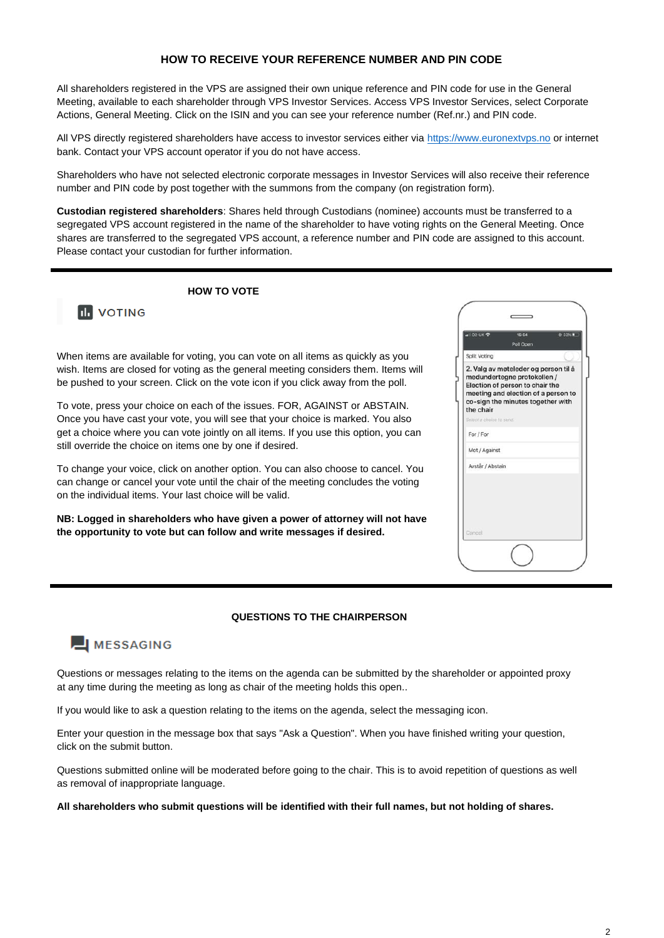# **HOW TO RECEIVE YOUR REFERENCE NUMBER AND PIN CODE**

All shareholders registered in the VPS are assigned their own unique reference and PIN code for use in the General Meeting, available to each shareholder through VPS Investor Services. Access VPS Investor Services, select Corporate Actions, General Meeting. Click on the ISIN and you can see your reference number (Ref.nr.) and PIN code.

All VPS directly registered shareholders have access to investor services either via [https://www.euronextvps.no](https://www.euronextvps.no/) or internet bank. Contact your VPS account operator if you do not have access.

Shareholders who have not selected electronic corporate messages in Investor Services will also receive their reference number and PIN code by post together with the summons from the company (on registration form).

**Custodian registered shareholders**: Shares held through Custodians (nominee) accounts must be transferred to a segregated VPS account registered in the name of the shareholder to have voting rights on the General Meeting. Once shares are transferred to the segregated VPS account, a reference number and PIN code are assigned to this account. Please contact your custodian for further information.

 **HOW TO VOTE**



When items are available for voting, you can vote on all items as quickly as you wish. Items are closed for voting as the general meeting considers them. Items will be pushed to your screen. Click on the vote icon if you click away from the poll.

To vote, press your choice on each of the issues. FOR, AGAINST or ABSTAIN. Once you have cast your vote, you will see that your choice is marked. You also get a choice where you can vote jointly on all items. If you use this option, you can still override the choice on items one by one if desired.

To change your voice, click on another option. You can also choose to cancel. You can change or cancel your vote until the chair of the meeting concludes the voting on the individual items. Your last choice will be valid.

**NB: Logged in shareholders who have given a power of attorney will not have the opportunity to vote but can follow and write messages if desired.**

| $-102$ -UK                           | 15:54<br>Poll Open                                                                                                                                                                 | C 33% |
|--------------------------------------|------------------------------------------------------------------------------------------------------------------------------------------------------------------------------------|-------|
| Split Voting                         |                                                                                                                                                                                    |       |
| the chair<br>Select a choice to send | 2. Valg av møteleder og person til å<br>medundertegne protokollen /<br>Election of person to chair the<br>meeting and election of a person to<br>co-sign the minutes together with |       |
| For / For                            |                                                                                                                                                                                    |       |
|                                      |                                                                                                                                                                                    |       |
| Mot / Against                        |                                                                                                                                                                                    |       |
| Avstår / Abstain                     |                                                                                                                                                                                    |       |
|                                      |                                                                                                                                                                                    |       |

#### **QUESTIONS TO THE CHAIRPERSON**

# MESSAGING

Questions or messages relating to the items on the agenda can be submitted by the shareholder or appointed proxy at any time during the meeting as long as chair of the meeting holds this open..

If you would like to ask a question relating to the items on the agenda, select the messaging icon.

Enter your question in the message box that says "Ask a Question". When you have finished writing your question, click on the submit button.

Questions submitted online will be moderated before going to the chair. This is to avoid repetition of questions as well as removal of inappropriate language.

**All shareholders who submit questions will be identified with their full names, but not holding of shares.**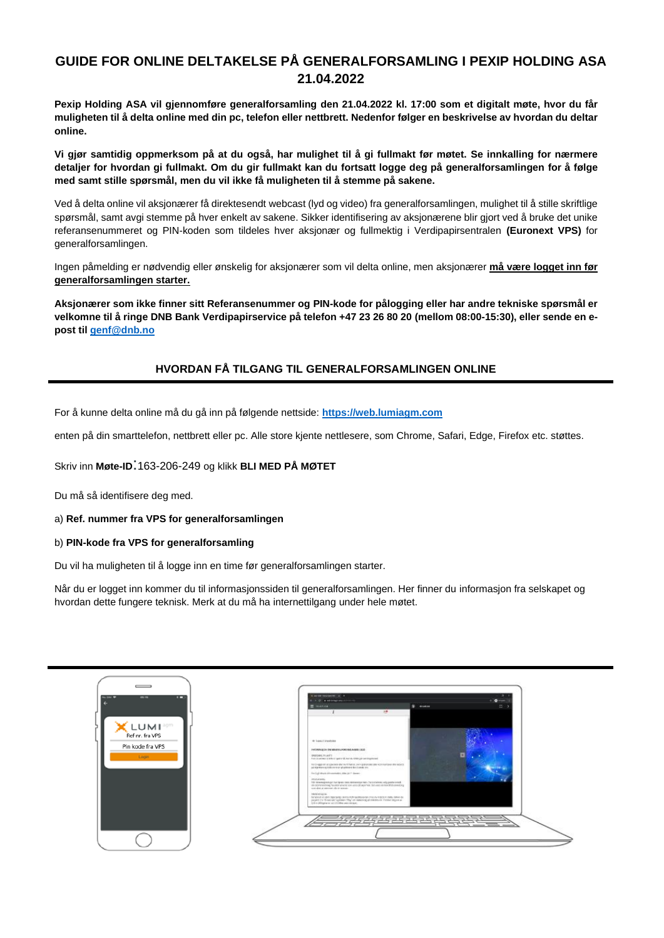# **GUIDE FOR ONLINE DELTAKELSE PÅ GENERALFORSAMLING I PEXIP HOLDING ASA 21.04.2022**

**Pexip Holding ASA vil gjennomføre generalforsamling den 21.04.2022 kl. 17:00 som et digitalt møte, hvor du får muligheten til å delta online med din pc, telefon eller nettbrett. Nedenfor følger en beskrivelse av hvordan du deltar online.** 

**Vi gjør samtidig oppmerksom på at du også, har mulighet til å gi fullmakt før møtet. Se innkalling for nærmere detaljer for hvordan gi fullmakt. Om du gir fullmakt kan du fortsatt logge deg på generalforsamlingen for å følge med samt stille spørsmål, men du vil ikke få muligheten til å stemme på sakene.**

Ved å delta online vil aksjonærer få direktesendt webcast (lyd og video) fra generalforsamlingen, mulighet til å stille skriftlige spørsmål, samt avgi stemme på hver enkelt av sakene. Sikker identifisering av aksjonærene blir gjort ved å bruke det unike referansenummeret og PIN-koden som tildeles hver aksjonær og fullmektig i Verdipapirsentralen **(Euronext VPS)** for generalforsamlingen.

Ingen påmelding er nødvendig eller ønskelig for aksjonærer som vil delta online, men aksjonærer **må være logget inn før generalforsamlingen starter.**

**Aksjonærer som ikke finner sitt Referansenummer og PIN-kode for pålogging eller har andre tekniske spørsmål er velkomne til å ringe DNB Bank Verdipapirservice på telefon +47 23 26 80 20 (mellom 08:00-15:30), eller sende en epost til [genf@dnb.no](mailto:genf@dnb.no)**

# **HVORDAN FÅ TILGANG TIL GENERALFORSAMLINGEN ONLINE**

For å kunne delta online må du gå inn på følgende nettside: **[https://web.lumiagm.com](https://web.lumiagm.com/)**

enten på din smarttelefon, nettbrett eller pc. Alle store kjente nettlesere, som Chrome, Safari, Edge, Firefox etc. støttes.

Skriv inn **Møte-ID**:163-206-249 og klikk **BLI MED PÅ MØTET**

Du må så identifisere deg med.

a) **Ref. nummer fra VPS for generalforsamlingen**

#### b) **PIN-kode fra VPS for generalforsamling**

Du vil ha muligheten til å logge inn en time før generalforsamlingen starter.

Når du er logget inn kommer du til informasjonssiden til generalforsamlingen. Her finner du informasjon fra selskapet og hvordan dette fungere teknisk. Merk at du må ha internettilgang under hele møtet.

| <b>ANTIQUE</b><br>46.19<br>ш        | In worker concretions (A) 4<br>a.<br>o Dresser<br>A. D. & adversarias contracts                                                                                                                                                                                                                                                                                                                                                                                                                                                          |
|-------------------------------------|------------------------------------------------------------------------------------------------------------------------------------------------------------------------------------------------------------------------------------------------------------------------------------------------------------------------------------------------------------------------------------------------------------------------------------------------------------------------------------------------------------------------------------------|
| Ref nr. fra VPS<br>Pin kode fra VPS | $\mathbb{Z}^n$<br>E monas<br>\$ mone<br>18<br>de Less Forestolen<br>INFORMATION ON MINIMUM DEVANS AGEN LICE!                                                                                                                                                                                                                                                                                                                                                                                                                             |
| Login                               | DRESALTAMES<br>. Investments a left-import of bands 4,44 pd semigration of<br>This brigge out at species due authorities per abbrances are appropriate en approp.<br>The separation of the summary plantation for a series and<br>The Lighthairs discussionly only of P. Books<br><b>HEALANNA</b><br>This deterministic particularly state demonstration may that distinct will paster simula in the activity of the state and the state of the state of the state of the<br>some about an externoon after the statutes<br>Hield shipper |
|                                     | Ter typost et eller Olgangerig savine Admissiblessings fres de relativit mals. Order de<br>And a collision was called a fiber containing and<br>---                                                                                                                                                                                                                                                                                                                                                                                      |